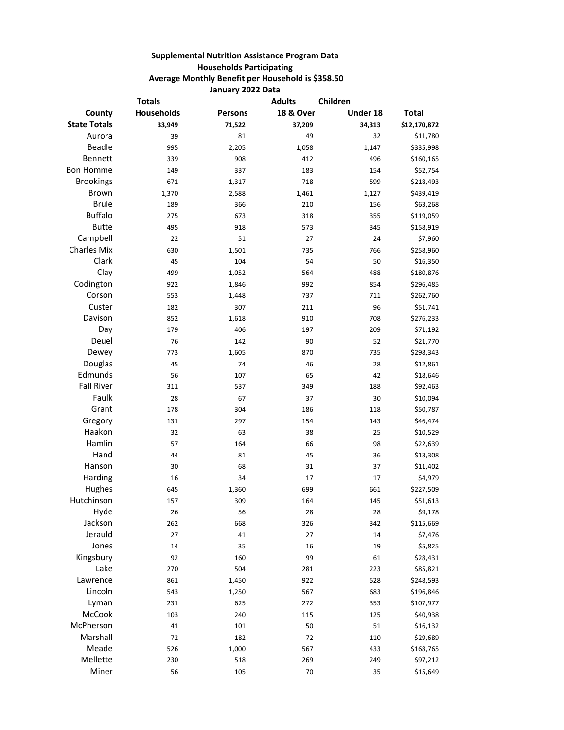## **Supplemental Nutrition Assistance Program Data Households Participating Average Monthly Benefit per Household is \$358.50 January 2022 Data**

| <b>Totals</b>       |            |                | <b>Adults</b>        | Children |              |
|---------------------|------------|----------------|----------------------|----------|--------------|
| County              | Households | <b>Persons</b> | <b>18 &amp; Over</b> | Under 18 | <b>Total</b> |
| <b>State Totals</b> | 33,949     | 71,522         | 37,209               | 34,313   | \$12,170,872 |
| Aurora              | 39         | 81             | 49                   | 32       | \$11,780     |
| Beadle              | 995        | 2,205          | 1,058                | 1,147    | \$335,998    |
| Bennett             | 339        | 908            | 412                  | 496      | \$160,165    |
| <b>Bon Homme</b>    | 149        | 337            | 183                  | 154      | \$52,754     |
| <b>Brookings</b>    | 671        | 1,317          | 718                  | 599      | \$218,493    |
| Brown               | 1,370      | 2,588          | 1,461                | 1,127    | \$439,419    |
| <b>Brule</b>        | 189        | 366            | 210                  | 156      | \$63,268     |
| <b>Buffalo</b>      | 275        | 673            | 318                  | 355      | \$119,059    |
| <b>Butte</b>        | 495        | 918            | 573                  | 345      | \$158,919    |
| Campbell            | 22         | 51             | 27                   | 24       | \$7,960      |
| <b>Charles Mix</b>  | 630        | 1,501          | 735                  | 766      | \$258,960    |
| Clark               | 45         | 104            | 54                   | 50       | \$16,350     |
| Clay                | 499        | 1,052          | 564                  | 488      | \$180,876    |
| Codington           | 922        | 1,846          | 992                  | 854      | \$296,485    |
| Corson              | 553        | 1,448          | 737                  | 711      | \$262,760    |
| Custer              | 182        | 307            | 211                  | 96       | \$51,741     |
| Davison             | 852        | 1,618          | 910                  | 708      | \$276,233    |
| Day                 | 179        | 406            | 197                  | 209      | \$71,192     |
| Deuel               | 76         | 142            | 90                   | 52       | \$21,770     |
| Dewey               | 773        | 1,605          | 870                  | 735      | \$298,343    |
| Douglas             | 45         | 74             | 46                   | 28       | \$12,861     |
| Edmunds             | 56         | 107            | 65                   | 42       | \$18,646     |
| <b>Fall River</b>   | 311        | 537            | 349                  | 188      | \$92,463     |
| Faulk               | 28         | 67             | 37                   | 30       | \$10,094     |
| Grant               | 178        | 304            | 186                  | 118      | \$50,787     |
| Gregory             | 131        | 297            | 154                  | 143      | \$46,474     |
| Haakon              | 32         | 63             | 38                   | 25       | \$10,529     |
| Hamlin              | 57         | 164            | 66                   | 98       | \$22,639     |
| Hand                | 44         | 81             | 45                   | 36       | \$13,308     |
| Hanson              | 30         | 68             | 31                   | 37       | \$11,402     |
| Harding             | 16         | 34             | 17                   | 17       | \$4,979      |
| Hughes              | 645        | 1,360          | 699                  | 661      | \$227,509    |
| Hutchinson          | 157        | 309            | 164                  | 145      | \$51,613     |
| Hyde                | 26         | 56             | 28                   | 28       | \$9,178      |
| Jackson             | 262        | 668            | 326                  | 342      | \$115,669    |
| Jerauld             | 27         | 41             | 27                   | 14       | \$7,476      |
| Jones               | 14         | 35             | 16                   | 19       | \$5,825      |
| Kingsbury           | 92         | 160            | 99                   | 61       | \$28,431     |
| Lake                | 270        | 504            | 281                  | 223      | \$85,821     |
| Lawrence            | 861        | 1,450          | 922                  | 528      | \$248,593    |
| Lincoln             | 543        | 1,250          | 567                  | 683      | \$196,846    |
| Lyman               | 231        | 625            | 272                  | 353      | \$107,977    |
| McCook              | 103        | 240            | 115                  | 125      | \$40,938     |
| McPherson           | 41         | 101            | 50                   | 51       | \$16,132     |
| Marshall            | 72         | 182            | 72                   | 110      | \$29,689     |
| Meade               | 526        | 1,000          | 567                  | 433      | \$168,765    |
| Mellette            | 230        | 518            | 269                  | 249      | \$97,212     |
| Miner               | 56         | 105            | 70                   | 35       | \$15,649     |